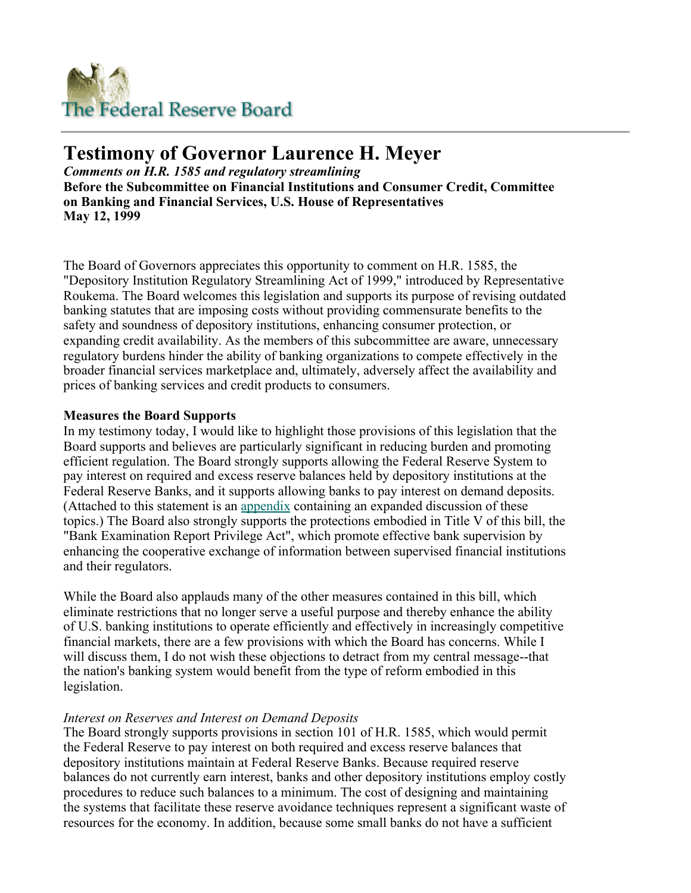

# **Testimony of Governor Laurence H. Meyer**

*Comments on H.R. 1585 and regulatory streamlining* **Before the Subcommittee on Financial Institutions and Consumer Credit, Committee on Banking and Financial Services, U.S. House of Representatives May 12, 1999** 

The Board of Governors appreciates this opportunity to comment on H.R. 1585, the "Depository Institution Regulatory Streamlining Act of 1999," introduced by Representative Roukema. The Board welcomes this legislation and supports its purpose of revising outdated banking statutes that are imposing costs without providing commensurate benefits to the safety and soundness of depository institutions, enhancing consumer protection, or expanding credit availability. As the members of this subcommittee are aware, unnecessary regulatory burdens hinder the ability of banking organizations to compete effectively in the broader financial services marketplace and, ultimately, adversely affect the availability and prices of banking services and credit products to consumers.

### **Measures the Board Supports**

In my testimony today, I would like to highlight those provisions of this legislation that the Board supports and believes are particularly significant in reducing burden and promoting efficient regulation. The Board strongly supports allowing the Federal Reserve System to pay interest on required and excess reserve balances held by depository institutions at the Federal Reserve Banks, and it supports allowing banks to pay interest on demand deposits. (Attached to this statement is an appendix containing an expanded discussion of these topics.) The Board also strongly supports the protections embodied in Title V of this bill, the "Bank Examination Report Privilege Act", which promote effective bank supervision by enhancing the cooperative exchange of information between supervised financial institutions and their regulators.

While the Board also applauds many of the other measures contained in this bill, which eliminate restrictions that no longer serve a useful purpose and thereby enhance the ability of U.S. banking institutions to operate efficiently and effectively in increasingly competitive financial markets, there are a few provisions with which the Board has concerns. While I will discuss them, I do not wish these objections to detract from my central message--that the nation's banking system would benefit from the type of reform embodied in this legislation.

# *Interest on Reserves and Interest on Demand Deposits*

The Board strongly supports provisions in section 101 of H.R. 1585, which would permit the Federal Reserve to pay interest on both required and excess reserve balances that depository institutions maintain at Federal Reserve Banks. Because required reserve balances do not currently earn interest, banks and other depository institutions employ costly procedures to reduce such balances to a minimum. The cost of designing and maintaining the systems that facilitate these reserve avoidance techniques represent a significant waste of resources for the economy. In addition, because some small banks do not have a sufficient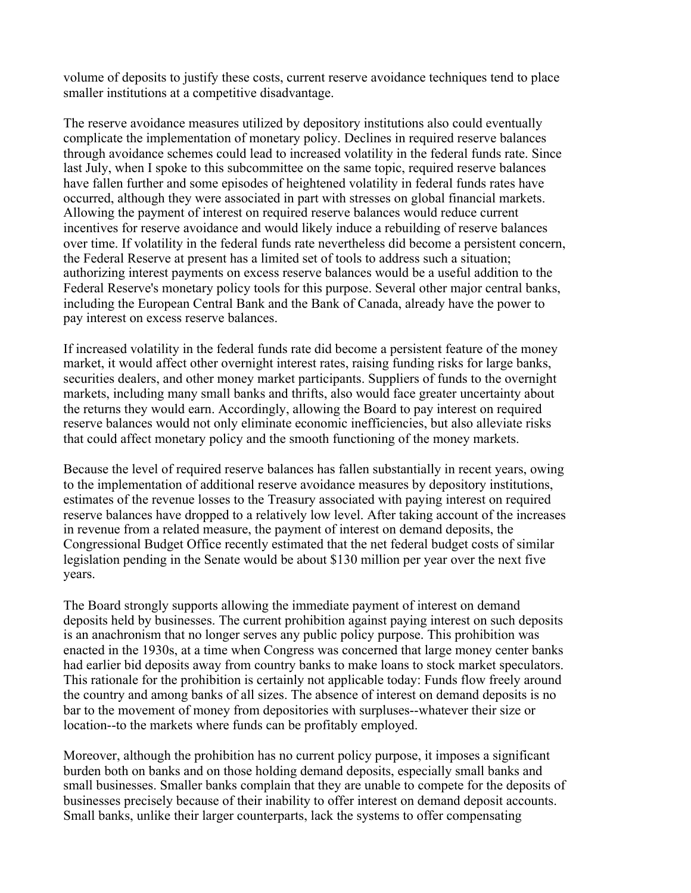volume of deposits to justify these costs, current reserve avoidance techniques tend to place smaller institutions at a competitive disadvantage.

The reserve avoidance measures utilized by depository institutions also could eventually complicate the implementation of monetary policy. Declines in required reserve balances through avoidance schemes could lead to increased volatility in the federal funds rate. Since last July, when I spoke to this subcommittee on the same topic, required reserve balances have fallen further and some episodes of heightened volatility in federal funds rates have occurred, although they were associated in part with stresses on global financial markets. Allowing the payment of interest on required reserve balances would reduce current incentives for reserve avoidance and would likely induce a rebuilding of reserve balances over time. If volatility in the federal funds rate nevertheless did become a persistent concern, the Federal Reserve at present has a limited set of tools to address such a situation; authorizing interest payments on excess reserve balances would be a useful addition to the Federal Reserve's monetary policy tools for this purpose. Several other major central banks, including the European Central Bank and the Bank of Canada, already have the power to pay interest on excess reserve balances.

If increased volatility in the federal funds rate did become a persistent feature of the money market, it would affect other overnight interest rates, raising funding risks for large banks, securities dealers, and other money market participants. Suppliers of funds to the overnight markets, including many small banks and thrifts, also would face greater uncertainty about the returns they would earn. Accordingly, allowing the Board to pay interest on required reserve balances would not only eliminate economic inefficiencies, but also alleviate risks that could affect monetary policy and the smooth functioning of the money markets.

Because the level of required reserve balances has fallen substantially in recent years, owing to the implementation of additional reserve avoidance measures by depository institutions, estimates of the revenue losses to the Treasury associated with paying interest on required reserve balances have dropped to a relatively low level. After taking account of the increases in revenue from a related measure, the payment of interest on demand deposits, the Congressional Budget Office recently estimated that the net federal budget costs of similar legislation pending in the Senate would be about \$130 million per year over the next five years.

The Board strongly supports allowing the immediate payment of interest on demand deposits held by businesses. The current prohibition against paying interest on such deposits is an anachronism that no longer serves any public policy purpose. This prohibition was enacted in the 1930s, at a time when Congress was concerned that large money center banks had earlier bid deposits away from country banks to make loans to stock market speculators. This rationale for the prohibition is certainly not applicable today: Funds flow freely around the country and among banks of all sizes. The absence of interest on demand deposits is no bar to the movement of money from depositories with surpluses--whatever their size or location--to the markets where funds can be profitably employed.

Moreover, although the prohibition has no current policy purpose, it imposes a significant burden both on banks and on those holding demand deposits, especially small banks and small businesses. Smaller banks complain that they are unable to compete for the deposits of businesses precisely because of their inability to offer interest on demand deposit accounts. Small banks, unlike their larger counterparts, lack the systems to offer compensating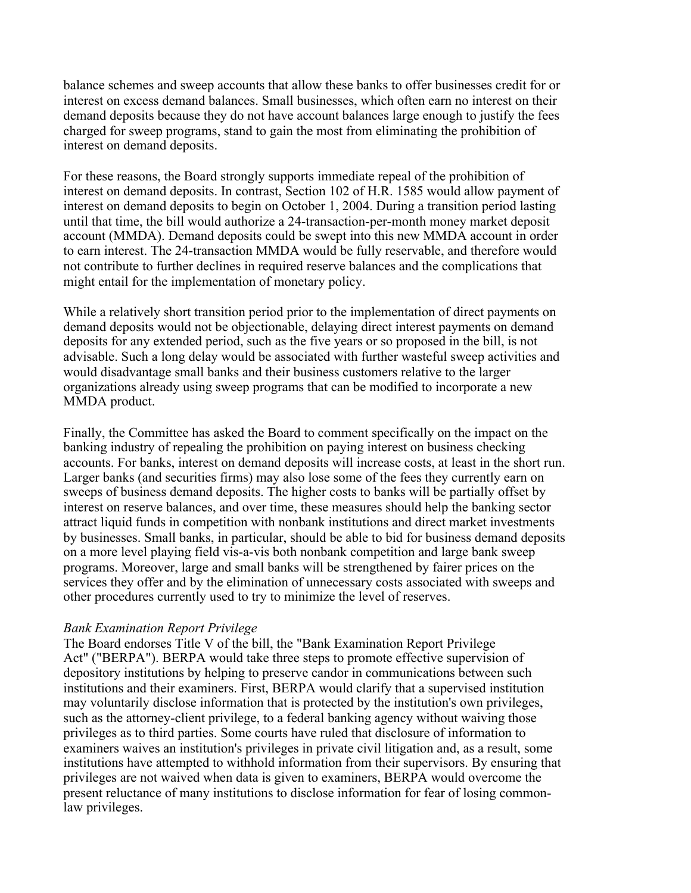balance schemes and sweep accounts that allow these banks to offer businesses credit for or interest on excess demand balances. Small businesses, which often earn no interest on their demand deposits because they do not have account balances large enough to justify the fees charged for sweep programs, stand to gain the most from eliminating the prohibition of interest on demand deposits.

For these reasons, the Board strongly supports immediate repeal of the prohibition of interest on demand deposits. In contrast, Section 102 of H.R. 1585 would allow payment of interest on demand deposits to begin on October 1, 2004. During a transition period lasting until that time, the bill would authorize a 24-transaction-per-month money market deposit account (MMDA). Demand deposits could be swept into this new MMDA account in order to earn interest. The 24-transaction MMDA would be fully reservable, and therefore would not contribute to further declines in required reserve balances and the complications that might entail for the implementation of monetary policy.

While a relatively short transition period prior to the implementation of direct payments on demand deposits would not be objectionable, delaying direct interest payments on demand deposits for any extended period, such as the five years or so proposed in the bill, is not advisable. Such a long delay would be associated with further wasteful sweep activities and would disadvantage small banks and their business customers relative to the larger organizations already using sweep programs that can be modified to incorporate a new MMDA product.

Finally, the Committee has asked the Board to comment specifically on the impact on the banking industry of repealing the prohibition on paying interest on business checking accounts. For banks, interest on demand deposits will increase costs, at least in the short run. Larger banks (and securities firms) may also lose some of the fees they currently earn on sweeps of business demand deposits. The higher costs to banks will be partially offset by interest on reserve balances, and over time, these measures should help the banking sector attract liquid funds in competition with nonbank institutions and direct market investments by businesses. Small banks, in particular, should be able to bid for business demand deposits on a more level playing field vis-a-vis both nonbank competition and large bank sweep programs. Moreover, large and small banks will be strengthened by fairer prices on the services they offer and by the elimination of unnecessary costs associated with sweeps and other procedures currently used to try to minimize the level of reserves.

#### *Bank Examination Report Privilege*

The Board endorses Title V of the bill, the "Bank Examination Report Privilege Act" ("BERPA"). BERPA would take three steps to promote effective supervision of depository institutions by helping to preserve candor in communications between such institutions and their examiners. First, BERPA would clarify that a supervised institution may voluntarily disclose information that is protected by the institution's own privileges, such as the attorney-client privilege, to a federal banking agency without waiving those privileges as to third parties. Some courts have ruled that disclosure of information to examiners waives an institution's privileges in private civil litigation and, as a result, some institutions have attempted to withhold information from their supervisors. By ensuring that privileges are not waived when data is given to examiners, BERPA would overcome the present reluctance of many institutions to disclose information for fear of losing commonlaw privileges.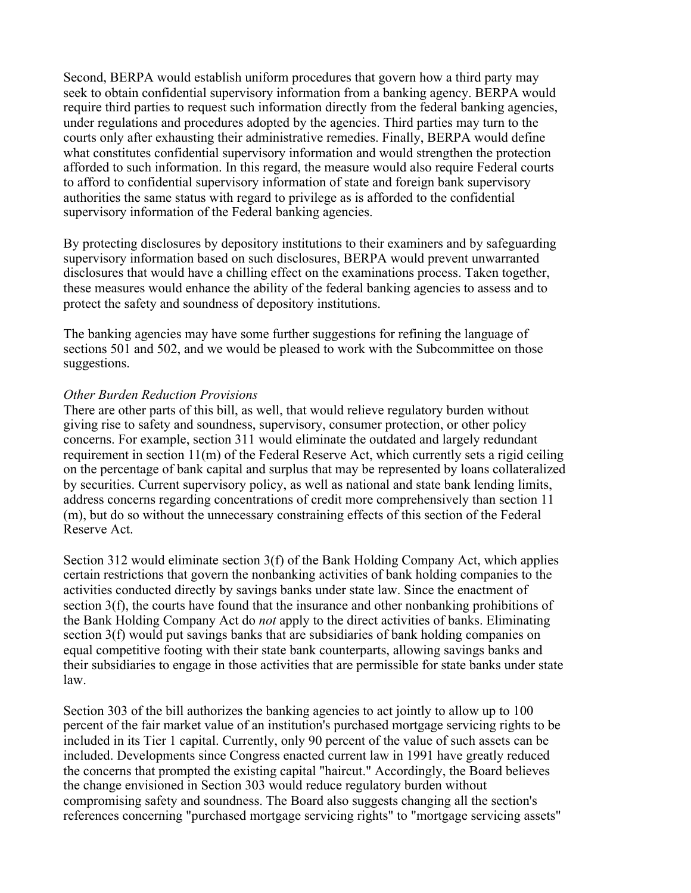Second, BERPA would establish uniform procedures that govern how a third party may seek to obtain confidential supervisory information from a banking agency. BERPA would require third parties to request such information directly from the federal banking agencies, under regulations and procedures adopted by the agencies. Third parties may turn to the courts only after exhausting their administrative remedies. Finally, BERPA would define what constitutes confidential supervisory information and would strengthen the protection afforded to such information. In this regard, the measure would also require Federal courts to afford to confidential supervisory information of state and foreign bank supervisory authorities the same status with regard to privilege as is afforded to the confidential supervisory information of the Federal banking agencies.

By protecting disclosures by depository institutions to their examiners and by safeguarding supervisory information based on such disclosures, BERPA would prevent unwarranted disclosures that would have a chilling effect on the examinations process. Taken together, these measures would enhance the ability of the federal banking agencies to assess and to protect the safety and soundness of depository institutions.

The banking agencies may have some further suggestions for refining the language of sections 501 and 502, and we would be pleased to work with the Subcommittee on those suggestions.

### *Other Burden Reduction Provisions*

There are other parts of this bill, as well, that would relieve regulatory burden without giving rise to safety and soundness, supervisory, consumer protection, or other policy concerns. For example, section 311 would eliminate the outdated and largely redundant requirement in section  $11(m)$  of the Federal Reserve Act, which currently sets a rigid ceiling on the percentage of bank capital and surplus that may be represented by loans collateralized by securities. Current supervisory policy, as well as national and state bank lending limits, address concerns regarding concentrations of credit more comprehensively than section 11 (m), but do so without the unnecessary constraining effects of this section of the Federal Reserve Act.

Section 312 would eliminate section 3(f) of the Bank Holding Company Act, which applies certain restrictions that govern the nonbanking activities of bank holding companies to the activities conducted directly by savings banks under state law. Since the enactment of section  $3(f)$ , the courts have found that the insurance and other nonbanking prohibitions of the Bank Holding Company Act do *not* apply to the direct activities of banks. Eliminating section 3(f) would put savings banks that are subsidiaries of bank holding companies on equal competitive footing with their state bank counterparts, allowing savings banks and their subsidiaries to engage in those activities that are permissible for state banks under state law.

Section 303 of the bill authorizes the banking agencies to act jointly to allow up to 100 percent of the fair market value of an institution's purchased mortgage servicing rights to be included in its Tier 1 capital. Currently, only 90 percent of the value of such assets can be included. Developments since Congress enacted current law in 1991 have greatly reduced the concerns that prompted the existing capital "haircut." Accordingly, the Board believes the change envisioned in Section 303 would reduce regulatory burden without compromising safety and soundness. The Board also suggests changing all the section's references concerning "purchased mortgage servicing rights" to "mortgage servicing assets"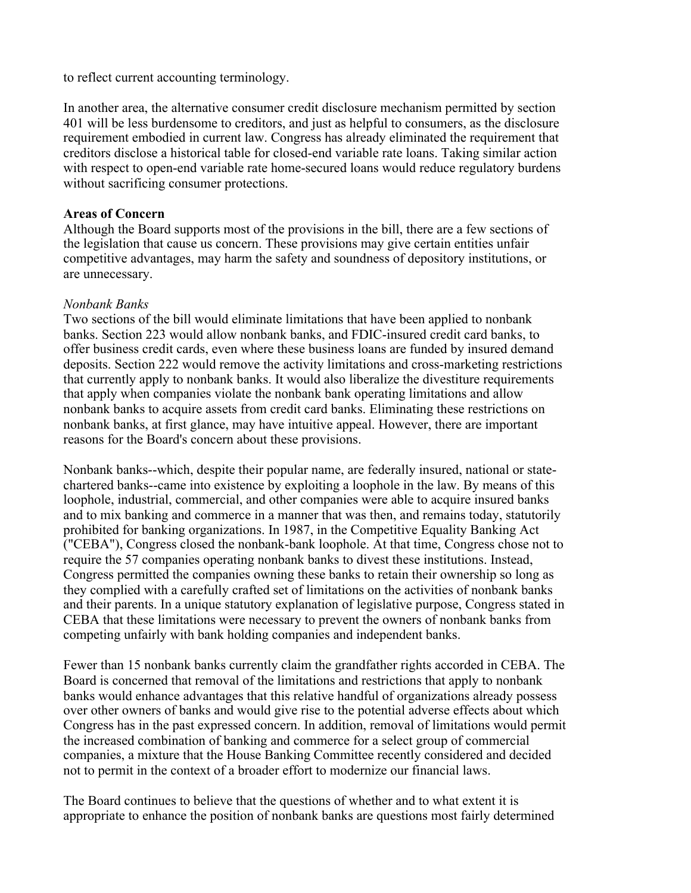to reflect current accounting terminology.

In another area, the alternative consumer credit disclosure mechanism permitted by section 401 will be less burdensome to creditors, and just as helpful to consumers, as the disclosure requirement embodied in current law. Congress has already eliminated the requirement that creditors disclose a historical table for closed-end variable rate loans. Taking similar action with respect to open-end variable rate home-secured loans would reduce regulatory burdens without sacrificing consumer protections.

# **Areas of Concern**

Although the Board supports most of the provisions in the bill, there are a few sections of the legislation that cause us concern. These provisions may give certain entities unfair competitive advantages, may harm the safety and soundness of depository institutions, or are unnecessary.

# *Nonbank Banks*

Two sections of the bill would eliminate limitations that have been applied to nonbank banks. Section 223 would allow nonbank banks, and FDIC-insured credit card banks, to offer business credit cards, even where these business loans are funded by insured demand deposits. Section 222 would remove the activity limitations and cross-marketing restrictions that currently apply to nonbank banks. It would also liberalize the divestiture requirements that apply when companies violate the nonbank bank operating limitations and allow nonbank banks to acquire assets from credit card banks. Eliminating these restrictions on nonbank banks, at first glance, may have intuitive appeal. However, there are important reasons for the Board's concern about these provisions.

Nonbank banks--which, despite their popular name, are federally insured, national or statechartered banks--came into existence by exploiting a loophole in the law. By means of this loophole, industrial, commercial, and other companies were able to acquire insured banks and to mix banking and commerce in a manner that was then, and remains today, statutorily prohibited for banking organizations. In 1987, in the Competitive Equality Banking Act ("CEBA"), Congress closed the nonbank-bank loophole. At that time, Congress chose not to require the 57 companies operating nonbank banks to divest these institutions. Instead, Congress permitted the companies owning these banks to retain their ownership so long as they complied with a carefully crafted set of limitations on the activities of nonbank banks and their parents. In a unique statutory explanation of legislative purpose, Congress stated in CEBA that these limitations were necessary to prevent the owners of nonbank banks from competing unfairly with bank holding companies and independent banks.

Fewer than 15 nonbank banks currently claim the grandfather rights accorded in CEBA. The Board is concerned that removal of the limitations and restrictions that apply to nonbank banks would enhance advantages that this relative handful of organizations already possess over other owners of banks and would give rise to the potential adverse effects about which Congress has in the past expressed concern. In addition, removal of limitations would permit the increased combination of banking and commerce for a select group of commercial companies, a mixture that the House Banking Committee recently considered and decided not to permit in the context of a broader effort to modernize our financial laws.

The Board continues to believe that the questions of whether and to what extent it is appropriate to enhance the position of nonbank banks are questions most fairly determined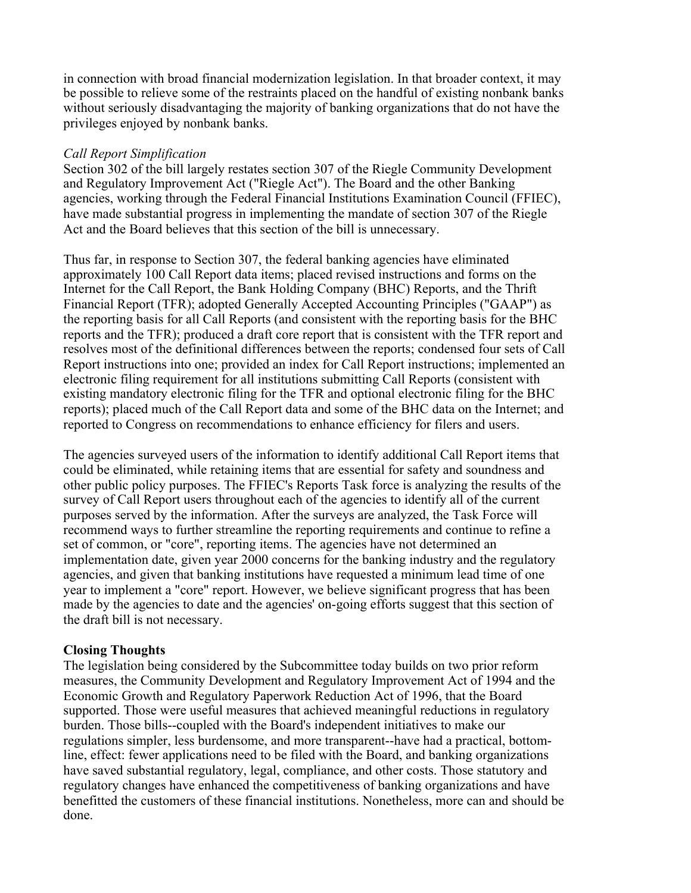in connection with broad financial modernization legislation. In that broader context, it may be possible to relieve some of the restraints placed on the handful of existing nonbank banks without seriously disadvantaging the majority of banking organizations that do not have the privileges enjoyed by nonbank banks.

# *Call Report Simplification*

Section 302 of the bill largely restates section 307 of the Riegle Community Development and Regulatory Improvement Act ("Riegle Act"). The Board and the other Banking agencies, working through the Federal Financial Institutions Examination Council (FFIEC), have made substantial progress in implementing the mandate of section 307 of the Riegle Act and the Board believes that this section of the bill is unnecessary.

Thus far, in response to Section 307, the federal banking agencies have eliminated approximately 100 Call Report data items; placed revised instructions and forms on the Internet for the Call Report, the Bank Holding Company (BHC) Reports, and the Thrift Financial Report (TFR); adopted Generally Accepted Accounting Principles ("GAAP") as the reporting basis for all Call Reports (and consistent with the reporting basis for the BHC reports and the TFR); produced a draft core report that is consistent with the TFR report and resolves most of the definitional differences between the reports; condensed four sets of Call Report instructions into one; provided an index for Call Report instructions; implemented an electronic filing requirement for all institutions submitting Call Reports (consistent with existing mandatory electronic filing for the TFR and optional electronic filing for the BHC reports); placed much of the Call Report data and some of the BHC data on the Internet; and reported to Congress on recommendations to enhance efficiency for filers and users.

The agencies surveyed users of the information to identify additional Call Report items that could be eliminated, while retaining items that are essential for safety and soundness and other public policy purposes. The FFIEC's Reports Task force is analyzing the results of the survey of Call Report users throughout each of the agencies to identify all of the current purposes served by the information. After the surveys are analyzed, the Task Force will recommend ways to further streamline the reporting requirements and continue to refine a set of common, or "core", reporting items. The agencies have not determined an implementation date, given year 2000 concerns for the banking industry and the regulatory agencies, and given that banking institutions have requested a minimum lead time of one year to implement a "core" report. However, we believe significant progress that has been made by the agencies to date and the agencies' on-going efforts suggest that this section of the draft bill is not necessary.

# **Closing Thoughts**

The legislation being considered by the Subcommittee today builds on two prior reform measures, the Community Development and Regulatory Improvement Act of 1994 and the Economic Growth and Regulatory Paperwork Reduction Act of 1996, that the Board supported. Those were useful measures that achieved meaningful reductions in regulatory burden. Those bills--coupled with the Board's independent initiatives to make our regulations simpler, less burdensome, and more transparent--have had a practical, bottomline, effect: fewer applications need to be filed with the Board, and banking organizations have saved substantial regulatory, legal, compliance, and other costs. Those statutory and regulatory changes have enhanced the competitiveness of banking organizations and have benefitted the customers of these financial institutions. Nonetheless, more can and should be done.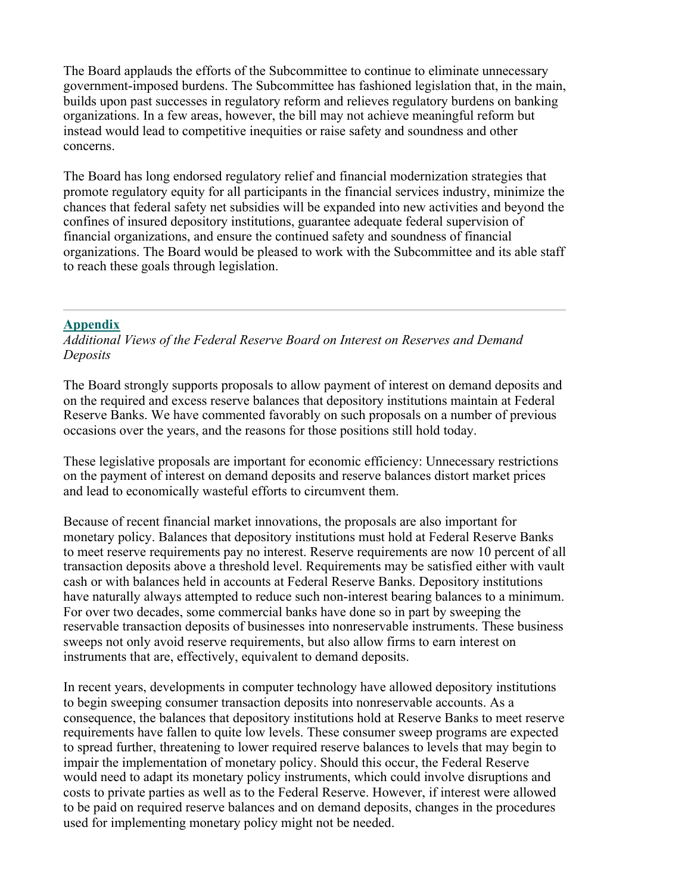The Board applauds the efforts of the Subcommittee to continue to eliminate unnecessary government-imposed burdens. The Subcommittee has fashioned legislation that, in the main, builds upon past successes in regulatory reform and relieves regulatory burdens on banking organizations. In a few areas, however, the bill may not achieve meaningful reform but instead would lead to competitive inequities or raise safety and soundness and other concerns.

The Board has long endorsed regulatory relief and financial modernization strategies that promote regulatory equity for all participants in the financial services industry, minimize the chances that federal safety net subsidies will be expanded into new activities and beyond the confines of insured depository institutions, guarantee adequate federal supervision of financial organizations, and ensure the continued safety and soundness of financial organizations. The Board would be pleased to work with the Subcommittee and its able staff to reach these goals through legislation.

# **Appendix**

*Additional Views of the Federal Reserve Board on Interest on Reserves and Demand Deposits*

The Board strongly supports proposals to allow payment of interest on demand deposits and on the required and excess reserve balances that depository institutions maintain at Federal Reserve Banks. We have commented favorably on such proposals on a number of previous occasions over the years, and the reasons for those positions still hold today.

These legislative proposals are important for economic efficiency: Unnecessary restrictions on the payment of interest on demand deposits and reserve balances distort market prices and lead to economically wasteful efforts to circumvent them.

Because of recent financial market innovations, the proposals are also important for monetary policy. Balances that depository institutions must hold at Federal Reserve Banks to meet reserve requirements pay no interest. Reserve requirements are now 10 percent of all transaction deposits above a threshold level. Requirements may be satisfied either with vault cash or with balances held in accounts at Federal Reserve Banks. Depository institutions have naturally always attempted to reduce such non-interest bearing balances to a minimum. For over two decades, some commercial banks have done so in part by sweeping the reservable transaction deposits of businesses into nonreservable instruments. These business sweeps not only avoid reserve requirements, but also allow firms to earn interest on instruments that are, effectively, equivalent to demand deposits.

In recent years, developments in computer technology have allowed depository institutions to begin sweeping consumer transaction deposits into nonreservable accounts. As a consequence, the balances that depository institutions hold at Reserve Banks to meet reserve requirements have fallen to quite low levels. These consumer sweep programs are expected to spread further, threatening to lower required reserve balances to levels that may begin to impair the implementation of monetary policy. Should this occur, the Federal Reserve would need to adapt its monetary policy instruments, which could involve disruptions and costs to private parties as well as to the Federal Reserve. However, if interest were allowed to be paid on required reserve balances and on demand deposits, changes in the procedures used for implementing monetary policy might not be needed.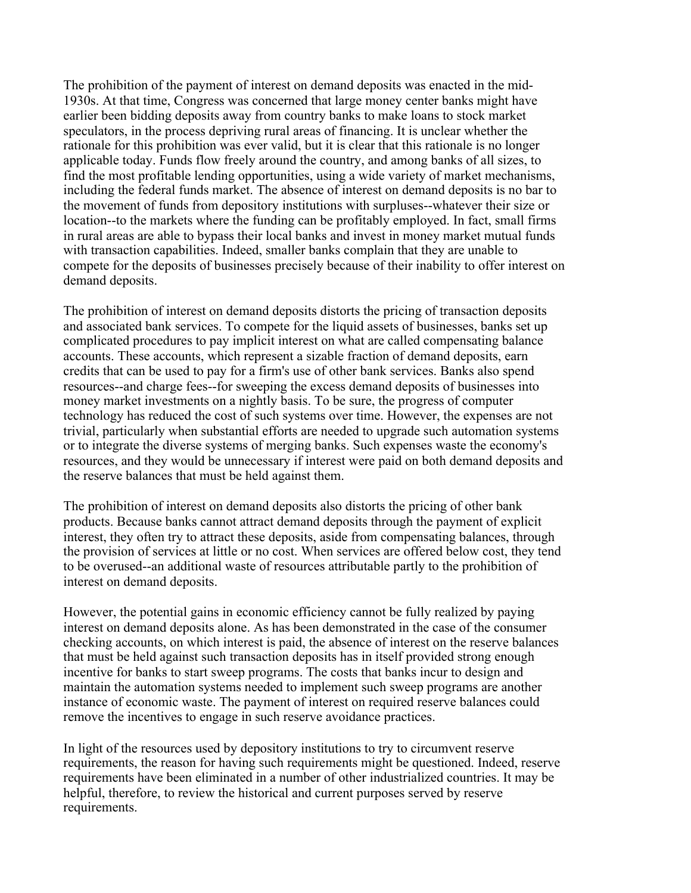The prohibition of the payment of interest on demand deposits was enacted in the mid-1930s. At that time, Congress was concerned that large money center banks might have earlier been bidding deposits away from country banks to make loans to stock market speculators, in the process depriving rural areas of financing. It is unclear whether the rationale for this prohibition was ever valid, but it is clear that this rationale is no longer applicable today. Funds flow freely around the country, and among banks of all sizes, to find the most profitable lending opportunities, using a wide variety of market mechanisms, including the federal funds market. The absence of interest on demand deposits is no bar to the movement of funds from depository institutions with surpluses--whatever their size or location--to the markets where the funding can be profitably employed. In fact, small firms in rural areas are able to bypass their local banks and invest in money market mutual funds with transaction capabilities. Indeed, smaller banks complain that they are unable to compete for the deposits of businesses precisely because of their inability to offer interest on demand deposits.

The prohibition of interest on demand deposits distorts the pricing of transaction deposits and associated bank services. To compete for the liquid assets of businesses, banks set up complicated procedures to pay implicit interest on what are called compensating balance accounts. These accounts, which represent a sizable fraction of demand deposits, earn credits that can be used to pay for a firm's use of other bank services. Banks also spend resources--and charge fees--for sweeping the excess demand deposits of businesses into money market investments on a nightly basis. To be sure, the progress of computer technology has reduced the cost of such systems over time. However, the expenses are not trivial, particularly when substantial efforts are needed to upgrade such automation systems or to integrate the diverse systems of merging banks. Such expenses waste the economy's resources, and they would be unnecessary if interest were paid on both demand deposits and the reserve balances that must be held against them.

The prohibition of interest on demand deposits also distorts the pricing of other bank products. Because banks cannot attract demand deposits through the payment of explicit interest, they often try to attract these deposits, aside from compensating balances, through the provision of services at little or no cost. When services are offered below cost, they tend to be overused--an additional waste of resources attributable partly to the prohibition of interest on demand deposits.

However, the potential gains in economic efficiency cannot be fully realized by paying interest on demand deposits alone. As has been demonstrated in the case of the consumer checking accounts, on which interest is paid, the absence of interest on the reserve balances that must be held against such transaction deposits has in itself provided strong enough incentive for banks to start sweep programs. The costs that banks incur to design and maintain the automation systems needed to implement such sweep programs are another instance of economic waste. The payment of interest on required reserve balances could remove the incentives to engage in such reserve avoidance practices.

In light of the resources used by depository institutions to try to circumvent reserve requirements, the reason for having such requirements might be questioned. Indeed, reserve requirements have been eliminated in a number of other industrialized countries. It may be helpful, therefore, to review the historical and current purposes served by reserve requirements.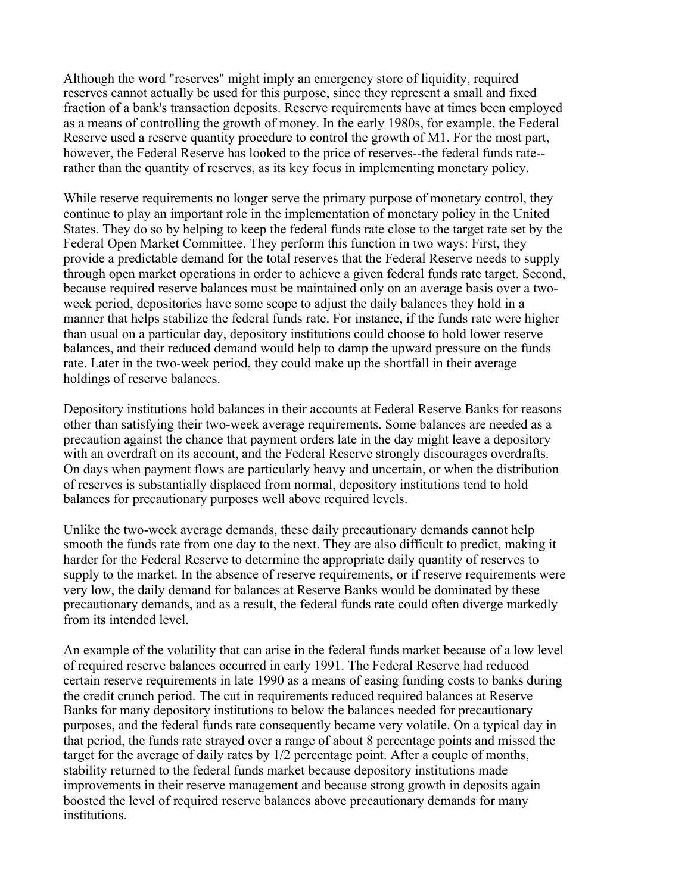Although the word "reserves" might imply an emergency store of liquidity, required reserves cannot actually be used for this purpose, since they represent a small and fixed fraction of a bank's transaction deposits. Reserve requirements have at times been employed as a means of controlling the growth of money. In the early 1980s, for example, the Federal Reserve used a reserve quantity procedure to control the growth of M1. For the most part, however, the Federal Reserve has looked to the price of reserves--the federal funds rate- rather than the quantity of reserves, as its key focus in implementing monetary policy.

While reserve requirements no longer serve the primary purpose of monetary control, they continue to play an important role in the implementation of monetary policy in the United States. They do so by helping to keep the federal funds rate close to the target rate set by the Federal Open Market Committee. They perform this function in two ways: First, they provide a predictable demand for the total reserves that the Federal Reserve needs to supply through open market operations in order to achieve a given federal funds rate target. Second, because required reserve balances must be maintained only on an average basis over a twoweek period, depositories have some scope to adjust the daily balances they hold in a manner that helps stabilize the federal funds rate. For instance, if the funds rate were higher than usual on a particular day, depository institutions could choose to hold lower reserve balances, and their reduced demand would help to damp the upward pressure on the funds rate. Later in the two-week period, they could make up the shortfall in their average holdings of reserve balances.

Depository institutions hold balances in their accounts at Federal Reserve Banks for reasons other than satisfying their two-week average requirements. Some balances are needed as a precaution against the chance that payment orders late in the day might leave a depository with an overdraft on its account, and the Federal Reserve strongly discourages overdrafts. On days when payment flows are particularly heavy and uncertain, or when the distribution of reserves is substantially displaced from normal, depository institutions tend to hold balances for precautionary purposes well above required levels.

Unlike the two-week average demands, these daily precautionary demands cannot help smooth the funds rate from one day to the next. They are also difficult to predict, making it harder for the Federal Reserve to determine the appropriate daily quantity of reserves to supply to the market. In the absence of reserve requirements, or if reserve requirements were very low, the daily demand for balances at Reserve Banks would be dominated by these precautionary demands, and as a result, the federal funds rate could often diverge markedly from its intended level.

An example of the volatility that can arise in the federal funds market because of a low level of required reserve balances occurred in early 1991. The Federal Reserve had reduced certain reserve requirements in late 1990 as a means of easing funding costs to banks during the credit crunch period. The cut in requirements reduced required balances at Reserve Banks for many depository institutions to below the balances needed for precautionary purposes, and the federal funds rate consequently became very volatile. On a typical day in that period, the funds rate strayed over a range of about 8 percentage points and missed the target for the average of daily rates by 1/2 percentage point. After a couple of months, stability returned to the federal funds market because depository institutions made improvements in their reserve management and because strong growth in deposits again boosted the level of required reserve balances above precautionary demands for many **institutions**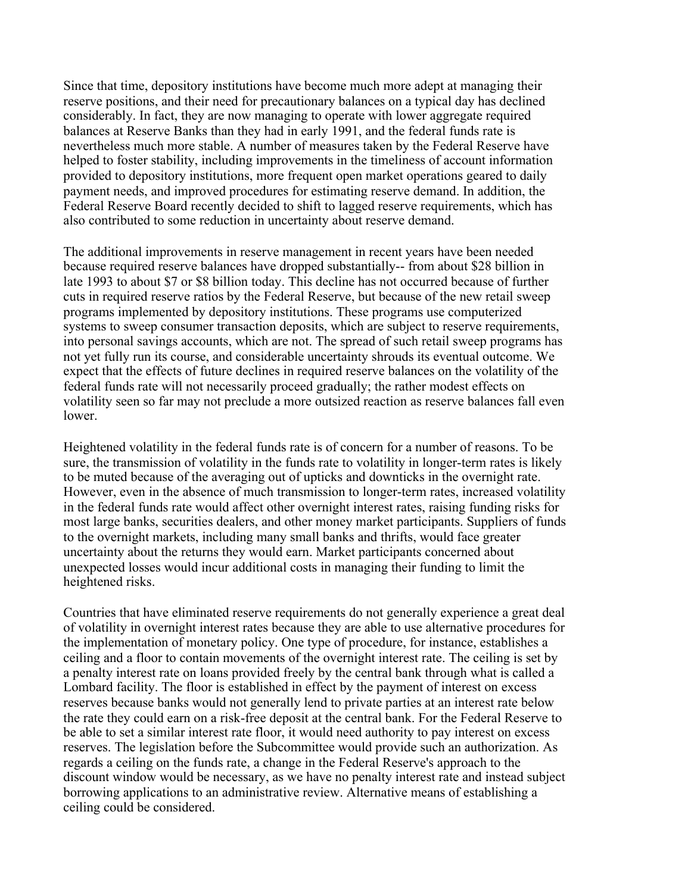Since that time, depository institutions have become much more adept at managing their reserve positions, and their need for precautionary balances on a typical day has declined considerably. In fact, they are now managing to operate with lower aggregate required balances at Reserve Banks than they had in early 1991, and the federal funds rate is nevertheless much more stable. A number of measures taken by the Federal Reserve have helped to foster stability, including improvements in the timeliness of account information provided to depository institutions, more frequent open market operations geared to daily payment needs, and improved procedures for estimating reserve demand. In addition, the Federal Reserve Board recently decided to shift to lagged reserve requirements, which has also contributed to some reduction in uncertainty about reserve demand.

The additional improvements in reserve management in recent years have been needed because required reserve balances have dropped substantially-- from about \$28 billion in late 1993 to about \$7 or \$8 billion today. This decline has not occurred because of further cuts in required reserve ratios by the Federal Reserve, but because of the new retail sweep programs implemented by depository institutions. These programs use computerized systems to sweep consumer transaction deposits, which are subject to reserve requirements, into personal savings accounts, which are not. The spread of such retail sweep programs has not yet fully run its course, and considerable uncertainty shrouds its eventual outcome. We expect that the effects of future declines in required reserve balances on the volatility of the federal funds rate will not necessarily proceed gradually; the rather modest effects on volatility seen so far may not preclude a more outsized reaction as reserve balances fall even lower.

Heightened volatility in the federal funds rate is of concern for a number of reasons. To be sure, the transmission of volatility in the funds rate to volatility in longer-term rates is likely to be muted because of the averaging out of upticks and downticks in the overnight rate. However, even in the absence of much transmission to longer-term rates, increased volatility in the federal funds rate would affect other overnight interest rates, raising funding risks for most large banks, securities dealers, and other money market participants. Suppliers of funds to the overnight markets, including many small banks and thrifts, would face greater uncertainty about the returns they would earn. Market participants concerned about unexpected losses would incur additional costs in managing their funding to limit the heightened risks.

Countries that have eliminated reserve requirements do not generally experience a great deal of volatility in overnight interest rates because they are able to use alternative procedures for the implementation of monetary policy. One type of procedure, for instance, establishes a ceiling and a floor to contain movements of the overnight interest rate. The ceiling is set by a penalty interest rate on loans provided freely by the central bank through what is called a Lombard facility. The floor is established in effect by the payment of interest on excess reserves because banks would not generally lend to private parties at an interest rate below the rate they could earn on a risk-free deposit at the central bank. For the Federal Reserve to be able to set a similar interest rate floor, it would need authority to pay interest on excess reserves. The legislation before the Subcommittee would provide such an authorization. As regards a ceiling on the funds rate, a change in the Federal Reserve's approach to the discount window would be necessary, as we have no penalty interest rate and instead subject borrowing applications to an administrative review. Alternative means of establishing a ceiling could be considered.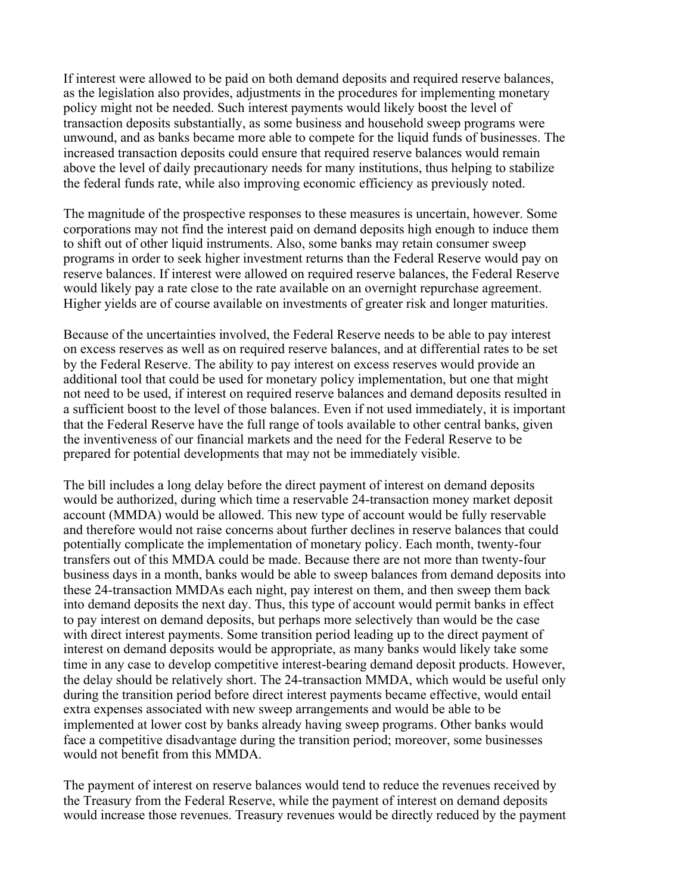If interest were allowed to be paid on both demand deposits and required reserve balances, as the legislation also provides, adjustments in the procedures for implementing monetary policy might not be needed. Such interest payments would likely boost the level of transaction deposits substantially, as some business and household sweep programs were unwound, and as banks became more able to compete for the liquid funds of businesses. The increased transaction deposits could ensure that required reserve balances would remain above the level of daily precautionary needs for many institutions, thus helping to stabilize the federal funds rate, while also improving economic efficiency as previously noted.

The magnitude of the prospective responses to these measures is uncertain, however. Some corporations may not find the interest paid on demand deposits high enough to induce them to shift out of other liquid instruments. Also, some banks may retain consumer sweep programs in order to seek higher investment returns than the Federal Reserve would pay on reserve balances. If interest were allowed on required reserve balances, the Federal Reserve would likely pay a rate close to the rate available on an overnight repurchase agreement. Higher yields are of course available on investments of greater risk and longer maturities.

Because of the uncertainties involved, the Federal Reserve needs to be able to pay interest on excess reserves as well as on required reserve balances, and at differential rates to be set by the Federal Reserve. The ability to pay interest on excess reserves would provide an additional tool that could be used for monetary policy implementation, but one that might not need to be used, if interest on required reserve balances and demand deposits resulted in a sufficient boost to the level of those balances. Even if not used immediately, it is important that the Federal Reserve have the full range of tools available to other central banks, given the inventiveness of our financial markets and the need for the Federal Reserve to be prepared for potential developments that may not be immediately visible.

The bill includes a long delay before the direct payment of interest on demand deposits would be authorized, during which time a reservable 24-transaction money market deposit account (MMDA) would be allowed. This new type of account would be fully reservable and therefore would not raise concerns about further declines in reserve balances that could potentially complicate the implementation of monetary policy. Each month, twenty-four transfers out of this MMDA could be made. Because there are not more than twenty-four business days in a month, banks would be able to sweep balances from demand deposits into these 24-transaction MMDAs each night, pay interest on them, and then sweep them back into demand deposits the next day. Thus, this type of account would permit banks in effect to pay interest on demand deposits, but perhaps more selectively than would be the case with direct interest payments. Some transition period leading up to the direct payment of interest on demand deposits would be appropriate, as many banks would likely take some time in any case to develop competitive interest-bearing demand deposit products. However, the delay should be relatively short. The 24-transaction MMDA, which would be useful only during the transition period before direct interest payments became effective, would entail extra expenses associated with new sweep arrangements and would be able to be implemented at lower cost by banks already having sweep programs. Other banks would face a competitive disadvantage during the transition period; moreover, some businesses would not benefit from this MMDA.

The payment of interest on reserve balances would tend to reduce the revenues received by the Treasury from the Federal Reserve, while the payment of interest on demand deposits would increase those revenues. Treasury revenues would be directly reduced by the payment